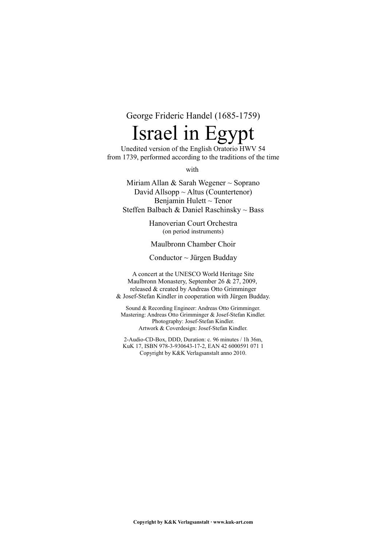George Frideric Handel (1685-1759)

# Israel in Egypt

Unedited version of the English Oratorio HWV 54 from 1739, performed according to the traditions of the time

with

Miriam Allan & Sarah Wegener ~ Soprano David Allsopp  $\sim$  Altus (Countertenor) Benjamin Hulett ~ Tenor Steffen Balbach & Daniel Raschinsky ~ Bass

> Hanoverian Court Orchestra (on period instruments)

Maulbronn Chamber Choir

Conductor  $\sim$  Jürgen Budday

A concert at the UNESCO World Heritage Site Maulbronn Monastery, September 26 & 27, 2009, released & created by Andreas Otto Grimminger & Josef-Stefan Kindler in cooperation with Jürgen Budday.

Sound & Recording Engineer: Andreas Otto Grimminger. Mastering: Andreas Otto Grimminger & Josef-Stefan Kindler. Photography: Josef-Stefan Kindler. Artwork & Coverdesign: Josef-Stefan Kindler.

2-Audio-CD-Box, DDD, Duration: c. 96 minutes / 1h 36m, KuK 17, ISBN 978-3-930643-17-2, EAN 42 6000591 071 1 Copyright by K&K Verlagsanstalt anno 2010.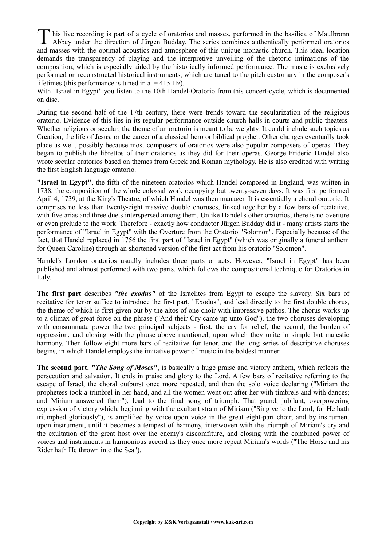his live recording is part of a cycle of oratorios and masses, performed in the basilica of Maulbronn This live recording is part of a cycle of oratorios and masses, performed in the basilica of Maulbronn Abbey under the direction of Jürgen Budday. The series combines authentically performed oratorios and masses with the optimal acoustics and atmosphere of this unique monastic church. This ideal location demands the transparency of playing and the interpretive unveiling of the rhetoric intimations of the composition, which is especially aided by the historically informed performance. The music is exclusively performed on reconstructed historical instruments, which are tuned to the pitch customary in the composer's lifetimes (this performance is tuned in  $a' = 415$  Hz).

With "Israel in Egypt" you listen to the 10th Handel-Oratorio from this concert-cycle, which is documented on disc.

During the second half of the 17th century, there were trends toward the secularization of the religious oratorio. Evidence of this lies in its regular performance outside church halls in courts and public theaters. Whether religious or secular, the theme of an oratorio is meant to be weighty. It could include such topics as Creation, the life of Jesus, or the career of a classical hero or biblical prophet. Other changes eventually took place as well, possibly because most composers of oratorios were also popular composers of operas. They began to publish the librettos of their oratorios as they did for their operas. George Frideric Handel also wrote secular oratorios based on themes from Greek and Roman mythology. He is also credited with writing the first English language oratorio.

**"Israel in Egypt"**, the fifth of the nineteen oratorios which Handel composed in England, was written in 1738, the composition of the whole colossal work occupying but twenty-seven days. It was first performed April 4, 1739, at the King's Theatre, of which Handel was then manager. It is essentially a choral oratorio. It comprises no less than twenty-eight massive double choruses, linked together by a few bars of recitative, with five arias and three duets interspersed among them. Unlike Handel's other oratorios, there is no overture or even prelude to the work. Therefore - exactly how conductor Jürgen Budday did it - many artists starts the performance of "Israel in Egypt" with the Overture from the Oratorio "Solomon". Especially because of the fact, that Handel replaced in 1756 the first part of "Israel in Egypt" (which was originally a funeral anthem for Queen Caroline) through an shortened version of the first act from his oratorio "Solomon".

Handel's London oratorios usually includes three parts or acts. However, "Israel in Egypt" has been published and almost performed with two parts, which follows the compositional technique for Oratorios in Italy.

**The first part** describes *"the exodus"* of the Israelites from Egypt to escape the slavery. Six bars of recitative for tenor suffice to introduce the first part, "Exodus", and lead directly to the first double chorus, the theme of which is first given out by the altos of one choir with impressive pathos. The chorus works up to a climax of great force on the phrase ("And their Cry came up unto God"), the two choruses developing with consummate power the two principal subjects - first, the cry for relief, the second, the burden of oppression; and closing with the phrase above mentioned, upon which they unite in simple but majestic harmony. Then follow eight more bars of recitative for tenor, and the long series of descriptive choruses begins, in which Handel employs the imitative power of music in the boldest manner.

**The second part**, *"The Song of Moses"*, is basically a huge praise and victory anthem, which reflects the persecution and salvation. It ends in praise and glory to the Lord. A few bars of recitative referring to the escape of Israel, the choral outburst once more repeated, and then the solo voice declaring ("Miriam the prophetess took a trimbrel in her hand, and all the women went out after her with timbrels and with dances; and Miriam answered them"), lead to the final song of triumph. That grand, jubilant, overpowering expression of victory which, beginning with the exultant strain of Miriam ("Sing ye to the Lord, for He hath triumphed gloriously"), is amplified by voice upon voice in the great eight-part choir, and by instrument upon instrument, until it becomes a tempest of harmony, interwoven with the triumph of Miriam's cry and the exultation of the great host over the enemy's discomfiture, and closing with the combined power of voices and instruments in harmonious accord as they once more repeat Miriam's words ("The Horse and his Rider hath He thrown into the Sea").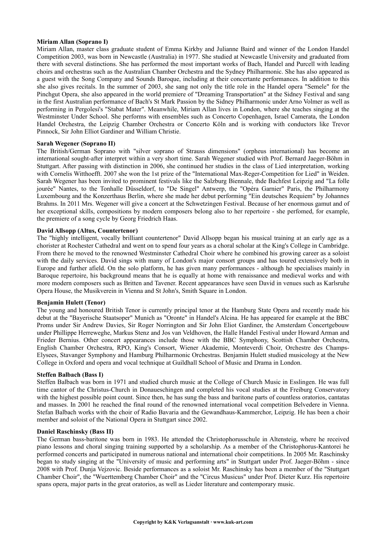# **Miriam Allan (Soprano I)**

Miriam Allan, master class graduate student of Emma Kirkby and Julianne Baird and winner of the London Handel Competition 2003, was born in Newcastle (Australia) in 1977. She studied at Newcastle University and graduated from there with several distinctions. She has performed the most important works of Bach, Handel and Purcell with leading choirs and orchestras such as the Australian Chamber Orchestra and the Sydney Philharmonic. She has also appeared as a guest with the Song Company and Sounds Baroque, including at their concertante performances. In addition to this she also gives recitals. In the summer of 2003, she sang not only the title role in the Handel opera "Semele" for the Pinchgut Opera, she also appeared in the world premiere of "Dreaming Transportation" at the Sidney Festival and sang in the first Australian performance of Bach's St Mark Passion by the Sidney Philharmonic under Arno Volmer as well as performing in Pergolesi's "Stabat Mater". Meanwhile, Miriam Allan lives in London, where she teaches singing at the Westminster Under School. She performs with ensembles such as Concerto Copenhagen, Israel Camerata, the London Handel Orchestra, the Leipzig Chamber Orchestra or Concerto Köln and is working with conductors like Trevor Pinnock, Sir John Elliot Gardiner and William Christie.

### **Sarah Wegener (Soprano II)**

The British/German Soprano with "silver soprano of Strauss dimensions" (orpheus international) has become an international sought-after interpret within a very short time. Sarah Wegener studied with Prof. Bernard Jaeger-Böhm in Stuttgart. After passing with distinction in 2006, she continued her studies in the class of Lied interpretation, working with Cornelis Witthoefft. 2007 she won the 1st prize of the "International Max-Reger-Competition for Lied" in Weiden. Sarah Wegener has been invited to prominent festivals like the Salzburg Biennale, thde Bachfest Leipzig and "La folle jourée" Nantes, to the Tonhalle Düsseldorf, to "De Singel" Antwerp, the "Opéra Garnier" Paris, the Philharmony Luxembourg and the Konzerthaus Berlin, where she made her debut performing "Ein deutsches Requiem" by Johannes Brahms. In 2011 Mrs. Wegener will give a concert at the Schwetzingen Festival. Because of her enormous gamut and of her exceptional skills, compositions by modern composers belong also to her repertoire - she perfomed, for example, the premiere of a song cycle by Georg Friedrich Haas.

# **David Allsopp (Altus, Countertenor)**

The "highly intelligent, vocally brilliant countertenor" David Allsopp began his musical training at an early age as a chorister at Rochester Cathedral and went on to spend four years as a choral scholar at the King's College in Cambridge. From there he moved to the renowned Westminster Cathedral Choir where he combined his growing career as a soloist with the daily services. David sings with many of London's major consort groups and has toured extensively both in Europe and further afield. On the solo platform, he has given many performances - although he specialises mainly in Baroque repertoire, his background means that he is equally at home with renaissance and medieval works and with more modern composers such as Britten and Tavener. Recent appearances have seen David in venues such as Karlsruhe Opera House, the Musikverein in Vienna and St John's, Smith Square in London.

# **Benjamin Hulett (Tenor)**

The young and honoured British Tenor is currently principal tenor at the Hamburg State Opera and recently made his debut at the "Bayerische Staatsoper" Munich as "Oronte" in Handel's Alcina. He has appeared for example at the BBC Proms under Sir Andrew Davies, Sir Roger Norrington and Sir John Eliot Gardiner, the Amsterdam Concertgebouw under Phillippe Herreweghe, Markus Stenz and Jos van Veldhoven, the Halle Handel Festival under Howard Arman and Frieder Bernius. Other concert appearances include those with the BBC Symphony, Scottish Chamber Orchestra, English Chamber Orchestra, RPO, King's Consort, Wiener Akademie, Monteverdi Choir, Orchestre des Champs-Elysees, Stavanger Symphony and Hamburg Philharmonic Orchestras. Benjamin Hulett studied musicology at the New College in Oxford and opera and vocal technique at Guildhall School of Music and Drama in London.

#### **Steffen Balbach (Bass I)**

Steffen Balbach was born in 1971 and studied church music at the College of Church Music in Esslingen. He was full time cantor of the Christus-Church in Donaueschingen and completed his vocal studies at the Freiburg Conservatory with the highest possible point count. Since then, he has sung the bass and baritone parts of countless oratorios, cantatas and masses. In 2001 he reached the final round of the renowned international vocal competition Belvedere in Vienna. Stefan Balbach works with the choir of Radio Bavaria and the Gewandhaus-Kammerchor, Leipzig. He has been a choir member and soloist of the National Opera in Stuttgart since 2002.

#### **Daniel Raschinsky (Bass II)**

The German bass-baritone was born in 1983. He attended the Christophorusschule in Altensteig, where he received piano lessons and choral singing training supported by a scholarship. As a member of the Christophorus-Kantorei he performed concerts and participated in numerous national and international choir competitions. In 2005 Mr. Raschinsky began to study singing at the "University of music and performing arts" in Stuttgart under Prof. Jaeger-Böhm - since 2008 with Prof. Dunja Vejzovic. Beside performances as a soloist Mr. Raschinsky has been a member of the "Stuttgart Chamber Choir", the "Wuerttemberg Chamber Choir" and the "Circus Musicus" under Prof. Dieter Kurz. His repertoire spans opera, major parts in the great oratorios, as well as Lieder literature and contemporary music.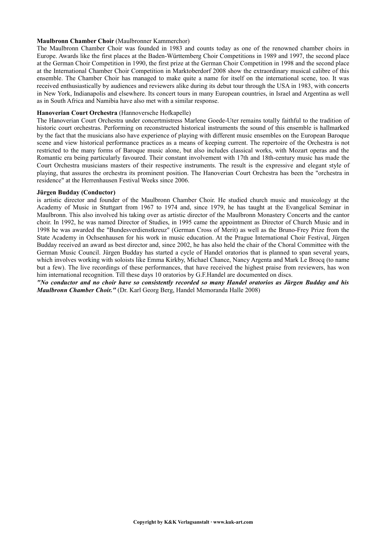### **Maulbronn Chamber Choir** (Maulbronner Kammerchor)

The Maulbronn Chamber Choir was founded in 1983 and counts today as one of the renowned chamber choirs in Europe. Awards like the first places at the Baden-Württemberg Choir Competitions in 1989 and 1997, the second place at the German Choir Competition in 1990, the first prize at the German Choir Competition in 1998 and the second place at the International Chamber Choir Competition in Marktoberdorf 2008 show the extraordinary musical calibre of this ensemble. The Chamber Choir has managed to make quite a name for itself on the international scene, too. It was received enthusiastically by audiences and reviewers alike during its debut tour through the USA in 1983, with concerts in New York, Indianapolis and elsewhere. Its concert tours in many European countries, in Israel and Argentina as well as in South Africa and Namibia have also met with a similar response.

# **Hanoverian Court Orchestra** (Hannoversche Hofkapelle)

The Hanoverian Court Orchestra under concertmistress Marlene Goede-Uter remains totally faithful to the tradition of historic court orchestras. Performing on reconstructed historical instruments the sound of this ensemble is hallmarked by the fact that the musicians also have experience of playing with different music ensembles on the European Baroque scene and view historical performance practices as a means of keeping current. The repertoire of the Orchestra is not restricted to the many forms of Baroque music alone, but also includes classical works, with Mozart operas and the Romantic era being particularly favoured. Their constant involvement with 17th and 18th-century music has made the Court Orchestra musicians masters of their respective instruments. The result is the expressive and elegant style of playing, that assures the orchestra its prominent position. The Hanoverian Court Orchestra has been the "orchestra in residence" at the Herrenhausen Festival Weeks since 2006.

#### **Jürgen Budday (Conductor)**

is artistic director and founder of the Maulbronn Chamber Choir. He studied church music and musicology at the Academy of Music in Stuttgart from 1967 to 1974 and, since 1979, he has taught at the Evangelical Seminar in Maulbronn. This also involved his taking over as artistic director of the Maulbronn Monastery Concerts and the cantor choir. In 1992, he was named Director of Studies, in 1995 came the appointment as Director of Church Music and in 1998 he was awarded the "Bundesverdienstkreuz" (German Cross of Merit) as well as the Bruno-Frey Prize from the State Academy in Ochsenhausen for his work in music education. At the Prague International Choir Festival, Jürgen Budday received an award as best director and, since 2002, he has also held the chair of the Choral Committee with the German Music Council. Jürgen Budday has started a cycle of Handel oratorios that is planned to span several years, which involves working with soloists like Emma Kirkby, Michael Chance, Nancy Argenta and Mark Le Brocq (to name but a few). The live recordings of these performances, that have received the highest praise from reviewers, has won him international recognition. Till these days 10 oratorios by G.F.Handel are documented on discs.

*"No conductor and no choir have so consistently recorded so many Handel oratorios as Jürgen Budday and his Maulbronn Chamber Choir."* (Dr. Karl Georg Berg, Handel Memoranda Halle 2008)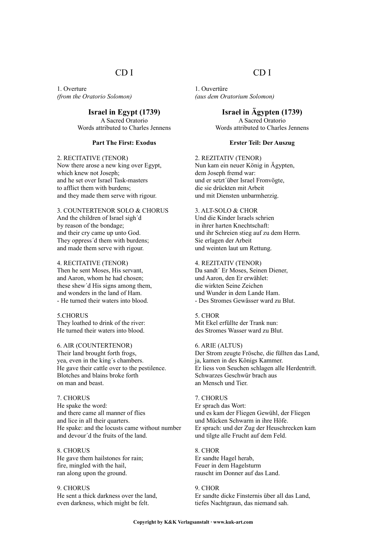# CD I

1. Overture *(from the Oratorio Solomon)*

> **Israel in Egypt (1739)** A Sacred Oratorio Words attributed to Charles Jennens

# **Part The First: Exodus**

#### 2. RECITATIVE (TENOR)

Now there arose a new king over Egypt, which knew not Joseph; and he set over Israel Task-masters to afflict them with burdens; and they made them serve with rigour.

# 3. COUNTERTENOR SOLO & CHORUS And the children of Israel sigh´d by reason of the bondage; and their cry came up unto God. They oppress´d them with burdens;

#### 4. RECITATIVE (TENOR)

Then he sent Moses, His servant, and Aaron, whom he had chosen; these shew´d His signs among them, and wonders in the land of Ham. - He turned their waters into blood.

and made them serve with rigour.

#### 5.CHORUS

They loathed to drink of the river: He turned their waters into blood.

#### 6. AIR (COUNTERTENOR)

Their land brought forth frogs, yea, even in the king´s chambers. He gave their cattle over to the pestilence. Blotches and blains broke forth on man and beast.

#### 7. CHORUS

He spake the word: and there came all manner of flies and lice in all their quarters. He spake: and the locusts came without number and devour´d the fruits of the land.

8. CHORUS He gave them hailstones for rain; fire, mingled with the hail, ran along upon the ground.

9. CHORUS He sent a thick darkness over the land, even darkness, which might be felt.

# CD I

1. Ouvertüre *(aus dem Oratorium Solomon)*

> **Israel in Ägypten (1739)** A Sacred Oratorio Words attributed to Charles Jennens

#### **Erster Teil: Der Auszug**

2. REZITATIV (TENOR) Nun kam ein neuer König in Ägypten, dem Joseph fremd war: und er setzt´über Israel Fronvögte, die sie drückten mit Arbeit und mit Diensten unbarmherzig.

# 3. ALT-SOLO & CHOR

Und die Kinder Israels schrien in ihrer harten Knechtschaft: und ihr Schreien stieg auf zu dem Herrn. Sie erlagen der Arbeit und weinten laut um Rettung.

#### 4. REZITATIV (TENOR)

Da sandt´ Er Moses, Seinen Diener, und Aaron, den Er erwählet: die wirkten Seine Zeichen und Wunder in dem Lande Ham. - Des Stromes Gewässer ward zu Blut.

#### 5. CHOR

Mit Ekel erfüllte der Trank nun: des Stromes Wasser ward zu Blut.

#### 6. ARIE (ALTUS)

Der Strom zeugte Frösche, die füllten das Land, ja, kamen in des Königs Kammer. Er liess von Seuchen schlagen alle Herdentrift. Schwarzes Geschwür brach aus an Mensch und Tier.

#### 7. CHORUS

Er sprach das Wort: und es kam der Fliegen Gewühl, der Fliegen und Mücken Schwarm in ihre Höfe. Er sprach: und der Zug der Heuschrecken kam und tilgte alle Frucht auf dem Feld.

#### 8. CHOR

Er sandte Hagel herab, Feuer in dem Hagelsturm rauscht im Donner auf das Land.

#### 9. CHOR Er sandte dicke Finsternis über all das Land, tiefes Nachtgraun, das niemand sah.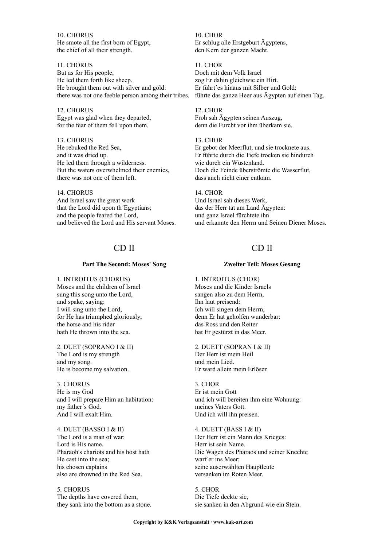10. CHORUS He smote all the first born of Egypt, the chief of all their strength.

11. CHORUS But as for His people, He led them forth like sheep. He brought them out with silver and gold: there was not one feeble person among their tribes.

12. CHORUS Egypt was glad when they departed, for the fear of them fell upon them.

13. CHORUS He rebuked the Red Sea, and it was dried up. He led them through a wilderness. But the waters overwhelmed their enemies, there was not one of them left.

## 14. CHORUS And Israel saw the great work that the Lord did upon th´Egyptians; and the people feared the Lord, and believed the Lord and His servant Moses.

# CD II

### **Part The Second: Moses' Song**

1. INTROITUS (CHORUS) Moses and the children of Israel sung this song unto the Lord, and spake, saying: I will sing unto the Lord, for He has triumphed gloriously; the horse and his rider hath He thrown into the sea.

2. DUET (SOPRANO I & II) The Lord is my strength and my song. He is become my salvation.

3. CHORUS He is my God and I will prepare Him an habitation: my father´s God. And I will exalt Him.

4. DUET (BASSO I & II) The Lord is a man of war: Lord is His name. Pharaoh's chariots and his host hath He cast into the sea; his chosen captains also are drowned in the Red Sea.

5. CHORUS The depths have covered them, they sank into the bottom as a stone.

10. CHOR Er schlug alle Erstgeburt Ägyptens, den Kern der ganzen Macht.

11. CHOR Doch mit dem Volk Israel zog Er dahin gleichwie ein Hirt. Er führt´es hinaus mit Silber und Gold: führte das ganze Heer aus Ägypten auf einen Tag.

12. CHOR Froh sah Ägypten seinen Auszug, denn die Furcht vor ihm überkam sie.

13. CHOR

Er gebot der Meerflut, und sie trocknete aus. Er führte durch die Tiefe trocken sie hindurch wie durch ein Wüstenland. Doch die Feinde überströmte die Wasserflut, dass auch nicht einer entkam.

14. CHOR

Und Israel sah dieses Werk, das der Herr tat am Land Ägypten: und ganz Israel fürchtete ihn und erkannte den Herrn und Seinen Diener Moses.

# CD II

# **Zweiter Teil: Moses Gesang**

1. INTROITUS (CHOR) Moses und die Kinder Israels sangen also zu dem Herrn, Ihn laut preisend: Ich will singen dem Herrn, denn Er hat geholfen wunderbar: das Ross und den Reiter hat Er gestürzt in das Meer.

2. DUETT (SOPRAN I & II) Der Herr ist mein Heil und mein Lied. Er ward allein mein Erlöser.

3. CHOR Er ist mein Gott und ich will bereiten ihm eine Wohnung: meines Vaters Gott. Und ich will ihn preisen.

4. DUETT (BASS I & II) Der Herr ist ein Mann des Krieges: Herr ist sein Name. Die Wagen des Pharaos und seiner Knechte warf er ins Meer; seine auserwählten Hauptleute versanken im Roten Meer.

5. CHOR Die Tiefe deckte sie, sie sanken in den Abgrund wie ein Stein.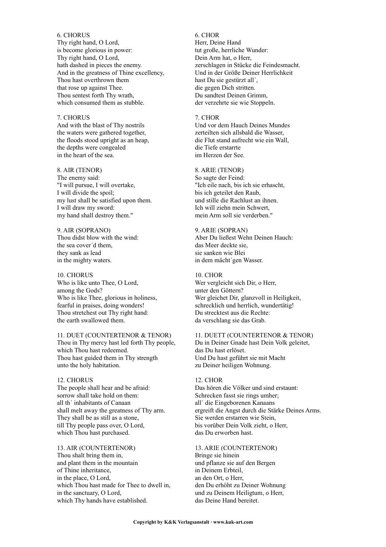#### 6. CHORUS

Thy right hand, O Lord, is become glorious in power: Thy right hand, O Lord, hath dashed in pieces the enemy. And in the greatness of Thine excellency, Thou hast overthrown them that rose up against Thee. Thou sentest forth Thy wrath, which consumed them as stubble.

#### 7. CHORUS

And with the blast of Thy nostrils the waters were gathered together, the floods stood upright as an heap, the depths were congealed in the heart of the sea.

# 8. AIR (TENOR)

The enemy said: "I will pursue, I will overtake, I will divide the spoil; my lust shall be satisfied upon them. I will draw my sword: my hand shall destroy them."

9. AIR (SOPRANO) Thou didst blow with the wind: the sea cover´d them, they sank as lead in the mighty waters.

10. CHORUS Who is like unto Thee, O Lord, among the Gods? Who is like Thee, glorious in holiness, fearful in praises, doing wonders! Thou stretchest out Thy right hand: the earth swallowed them.

11. DUET (COUNTERTENOR & TENOR) Thou in Thy mercy hast led forth Thy people, which Thou hast redeemed. Thou hast guided them in Thy strength unto the holy habitation.

#### 12. CHORUS

The people shall hear and be afraid: sorrow shall take hold on them: all th´ inhabitants of Canaan shall melt away the greatness of Thy arm. They shall be as still as a stone, till Thy people pass over, O Lord, which Thou hast purchased.

13. AIR (COUNTERTENOR) Thou shalt bring them in, and plant them in the mountain of Thine inheritance, in the place, O Lord, which Thou hast made for Thee to dwell in, in the sanctuary, O Lord, which Thy hands have established.

#### 6. CHOR

Herr, Deine Hand tut große, herrliche Wunder: Dein Arm hat, o Herr, zerschlagen in Stücke die Feindesmacht. Und in der Größe Deiner Herrlichkeit hast Du sie gestürzt all´, die gegen Dich stritten. Du sandtest Deinen Grimm, der verzehrte sie wie Stoppeln.

#### 7. CHOR

Und vor dem Hauch Deines Mundes zerteilten sich allsbald die Wasser, die Flut stand aufrecht wie ein Wall, die Tiefe erstarrte im Herzen der See.

#### 8. ARIE (TENOR)

So sagte der Feind: "Ich eile nach, bis ich sie erhascht, bis ich geteilet den Raub, und stille die Rachlust an ihnen. Ich will ziehn mein Schwert, mein Arm soll sie verderben."

# 9. ARIE (SOPRAN) Aber Du ließest Wehn Deinen Hauch: das Meer deckte sie, sie sanken wie Blei in dem mächt´gen Wasser.

10. CHOR Wer vergleicht sich Dir, o Herr, unter den Göttern? Wer gleichet Dir, glanzvoll in Heiligkeit, schrecklich und herrlich, wundertätig! Du strecktest aus die Rechte: da verschlang sie das Grab.

# 11. DUETT (COUNTERTENOR & TENOR) Du in Deiner Gnade hast Dein Volk geleitet, das Du hast erlöset. Und Du hast geführt sie mit Macht zu Deiner heiligen Wohnung.

#### 12. CHOR

Das hören die Völker und sind erstaunt: Schrecken fasst sie rings umher; all´ die Eingeborenen Kanaans ergreift die Angst durch die Stärke Deines Arms. Sie werden erstarren wie Stein, bis vorüber Dein Volk zieht, o Herr, das Du erworben hast.

#### 13. ARIE (COUNTERTENOR)

Bringe sie hinein und pflanze sie auf den Bergen in Deinem Erbteil, an den Ort, o Herr, den Du erhöht zu Deiner Wohnung und zu Deinem Heiligtum, o Herr, das Deine Hand bereitet.